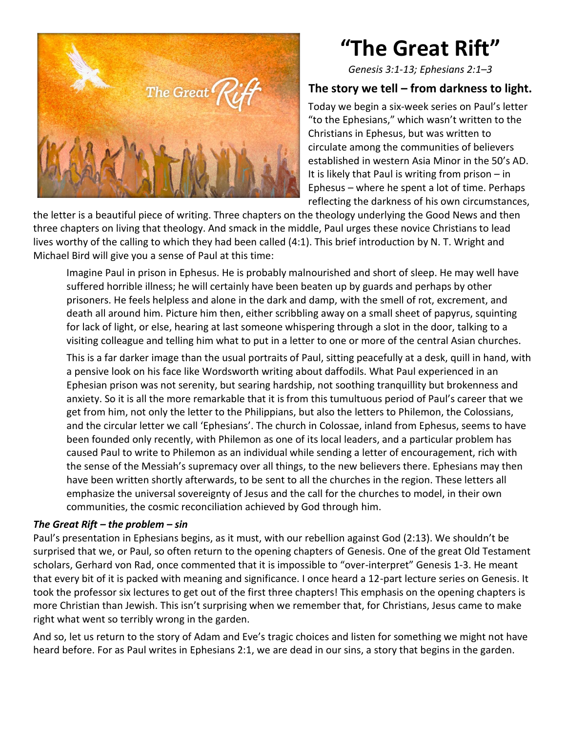

# **"The Great Rift"**

*Genesis 3:1-13; Ephesians 2:1–3*

### **The story we tell – from darkness to light.**

Today we begin a six-week series on Paul's letter "to the Ephesians," which wasn't written to the Christians in Ephesus, but was written to circulate among the communities of believers established in western Asia Minor in the 50's AD. It is likely that Paul is writing from prison – in Ephesus – where he spent a lot of time. Perhaps reflecting the darkness of his own circumstances,

the letter is a beautiful piece of writing. Three chapters on the theology underlying the Good News and then three chapters on living that theology. And smack in the middle, Paul urges these novice Christians to lead lives worthy of the calling to which they had been called (4:1). This brief introduction by N. T. Wright and Michael Bird will give you a sense of Paul at this time:

Imagine Paul in prison in Ephesus. He is probably malnourished and short of sleep. He may well have suffered horrible illness; he will certainly have been beaten up by guards and perhaps by other prisoners. He feels helpless and alone in the dark and damp, with the smell of rot, excrement, and death all around him. Picture him then, either scribbling away on a small sheet of papyrus, squinting for lack of light, or else, hearing at last someone whispering through a slot in the door, talking to a visiting colleague and telling him what to put in a letter to one or more of the central Asian churches.

This is a far darker image than the usual portraits of Paul, sitting peacefully at a desk, quill in hand, with a pensive look on his face like Wordsworth writing about daffodils. What Paul experienced in an Ephesian prison was not serenity, but searing hardship, not soothing tranquillity but brokenness and anxiety. So it is all the more remarkable that it is from this tumultuous period of Paul's career that we get from him, not only the letter to the Philippians, but also the letters to Philemon, the Colossians, and the circular letter we call 'Ephesians'. The church in Colossae, inland from Ephesus, seems to have been founded only recently, with Philemon as one of its local leaders, and a particular problem has caused Paul to write to Philemon as an individual while sending a letter of encouragement, rich with the sense of the Messiah's supremacy over all things, to the new believers there. Ephesians may then have been written shortly afterwards, to be sent to all the churches in the region. These letters all emphasize the universal sovereignty of Jesus and the call for the churches to model, in their own communities, the cosmic reconciliation achieved by God through him.

#### *The Great Rift – the problem – sin*

Paul's presentation in Ephesians begins, as it must, with our rebellion against God (2:13). We shouldn't be surprised that we, or Paul, so often return to the opening chapters of Genesis. One of the great Old Testament scholars, Gerhard von Rad, once commented that it is impossible to "over-interpret" Genesis 1-3. He meant that every bit of it is packed with meaning and significance. I once heard a 12-part lecture series on Genesis. It took the professor six lectures to get out of the first three chapters! This emphasis on the opening chapters is more Christian than Jewish. This isn't surprising when we remember that, for Christians, Jesus came to make right what went so terribly wrong in the garden.

And so, let us return to the story of Adam and Eve's tragic choices and listen for something we might not have heard before. For as Paul writes in Ephesians 2:1, we are dead in our sins, a story that begins in the garden.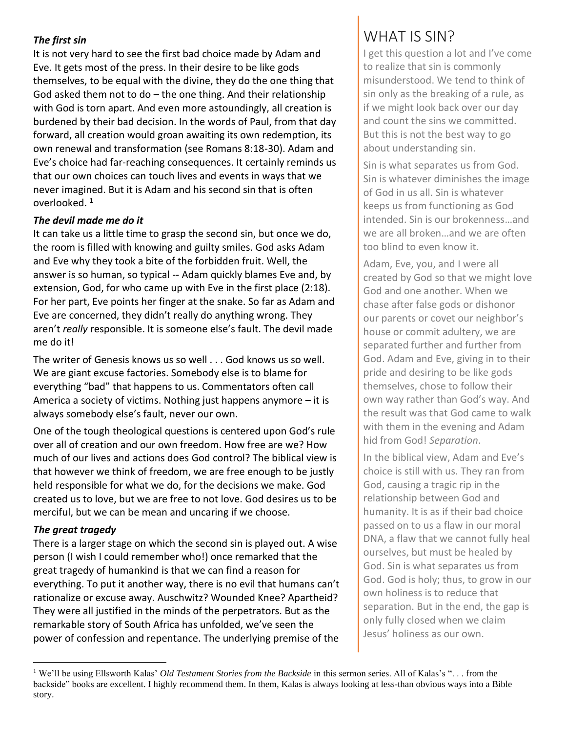#### *The first sin*

It is not very hard to see the first bad choice made by Adam and Eve. It gets most of the press. In their desire to be like gods themselves, to be equal with the divine, they do the one thing that God asked them not to do – the one thing. And their relationship with God is torn apart. And even more astoundingly, all creation is burdened by their bad decision. In the words of Paul, from that day forward, all creation would groan awaiting its own redemption, its own renewal and transformation (see Romans 8:18-30). Adam and Eve's choice had far-reaching consequences. It certainly reminds us that our own choices can touch lives and events in ways that we never imagined. But it is Adam and his second sin that is often overlooked. <sup>1</sup>

#### *The devil made me do it*

It can take us a little time to grasp the second sin, but once we do, the room is filled with knowing and guilty smiles. God asks Adam and Eve why they took a bite of the forbidden fruit. Well, the answer is so human, so typical -- Adam quickly blames Eve and, by extension, God, for who came up with Eve in the first place (2:18). For her part, Eve points her finger at the snake. So far as Adam and Eve are concerned, they didn't really do anything wrong. They aren't *really* responsible. It is someone else's fault. The devil made me do it!

The writer of Genesis knows us so well . . . God knows us so well. We are giant excuse factories. Somebody else is to blame for everything "bad" that happens to us. Commentators often call America a society of victims. Nothing just happens anymore – it is always somebody else's fault, never our own.

One of the tough theological questions is centered upon God's rule over all of creation and our own freedom. How free are we? How much of our lives and actions does God control? The biblical view is that however we think of freedom, we are free enough to be justly held responsible for what we do, for the decisions we make. God created us to love, but we are free to not love. God desires us to be merciful, but we can be mean and uncaring if we choose.

#### *The great tragedy*

There is a larger stage on which the second sin is played out. A wise person (I wish I could remember who!) once remarked that the great tragedy of humankind is that we can find a reason for everything. To put it another way, there is no evil that humans can't rationalize or excuse away. Auschwitz? Wounded Knee? Apartheid? They were all justified in the minds of the perpetrators. But as the remarkable story of South Africa has unfolded, we've seen the power of confession and repentance. The underlying premise of the

## WHAT IS SIN?

I get this question a lot and I've come to realize that sin is commonly misunderstood. We tend to think of sin only as the breaking of a rule, as if we might look back over our day and count the sins we committed. But this is not the best way to go about understanding sin.

Sin is what separates us from God. Sin is whatever diminishes the image of God in us all. Sin is whatever keeps us from functioning as God intended. Sin is our brokenness…and we are all broken…and we are often too blind to even know it.

Adam, Eve, you, and I were all created by God so that we might love God and one another. When we chase after false gods or dishonor our parents or covet our neighbor's house or commit adultery, we are separated further and further from God. Adam and Eve, giving in to their pride and desiring to be like gods themselves, chose to follow their own way rather than God's way. And the result was that God came to walk with them in the evening and Adam hid from God! *Separation*.

In the biblical view, Adam and Eve's choice is still with us. They ran from God, causing a tragic rip in the relationship between God and humanity. It is as if their bad choice passed on to us a flaw in our moral DNA, a flaw that we cannot fully heal ourselves, but must be healed by God. Sin is what separates us from God. God is holy; thus, to grow in our own holiness is to reduce that separation. But in the end, the gap is only fully closed when we claim Jesus' holiness as our own.

<sup>&</sup>lt;sup>1</sup> We'll be using Ellsworth Kalas' *Old Testament Stories from the Backside* in this sermon series. All of Kalas's "... from the backside" books are excellent. I highly recommend them. In them, Kalas is always looking at less-than obvious ways into a Bible story.